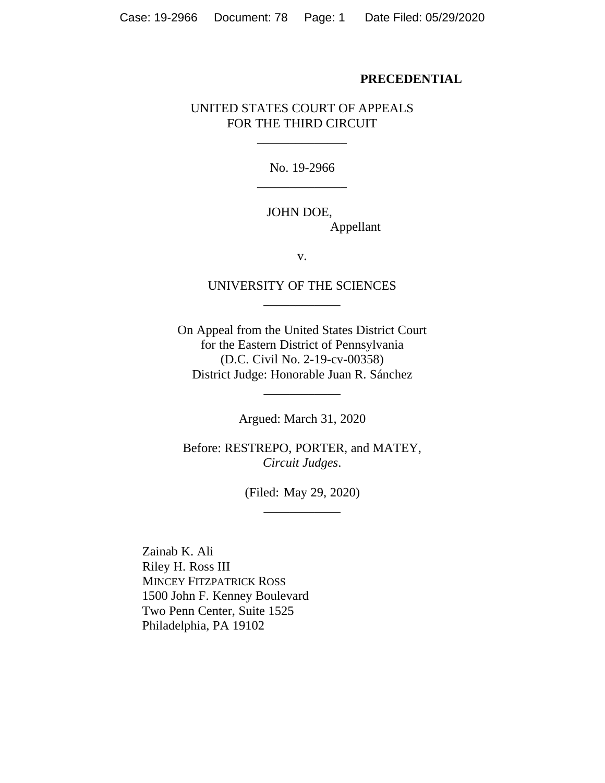### **PRECEDENTIAL**

# UNITED STATES COURT OF APPEALS FOR THE THIRD CIRCUIT

\_\_\_\_\_\_\_\_\_\_\_\_\_\_

No. 19-2966 \_\_\_\_\_\_\_\_\_\_\_\_\_\_

# JOHN DOE, Appellant

v.

# UNIVERSITY OF THE SCIENCES \_\_\_\_\_\_\_\_\_\_\_\_

On Appeal from the United States District Court for the Eastern District of Pennsylvania (D.C. Civil No. 2-19-cv-00358) District Judge: Honorable Juan R. Sánchez

Argued: March 31, 2020

\_\_\_\_\_\_\_\_\_\_\_\_

Before: RESTREPO, PORTER, and MATEY, *Circuit Judges*.

> (Filed: May 29, 2020) \_\_\_\_\_\_\_\_\_\_\_\_

Zainab K. Ali Riley H. Ross III MINCEY FITZPATRICK ROSS 1500 John F. Kenney Boulevard Two Penn Center, Suite 1525 Philadelphia, PA 19102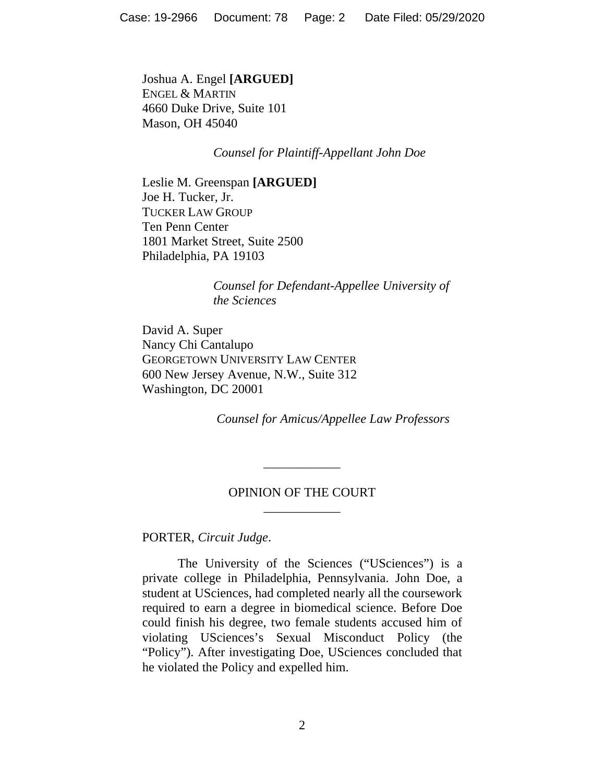Joshua A. Engel **[ARGUED]** ENGEL & MARTIN 4660 Duke Drive, Suite 101 Mason, OH 45040

*Counsel for Plaintiff-Appellant John Doe*

Leslie M. Greenspan **[ARGUED]** Joe H. Tucker, Jr. TUCKER LAW GROUP Ten Penn Center 1801 Market Street, Suite 2500 Philadelphia, PA 19103

> *Counsel for Defendant-Appellee University of the Sciences*

David A. Super Nancy Chi Cantalupo GEORGETOWN UNIVERSITY LAW CENTER 600 New Jersey Avenue, N.W., Suite 312 Washington, DC 20001

*Counsel for Amicus/Appellee Law Professors*

# OPINION OF THE COURT \_\_\_\_\_\_\_\_\_\_\_\_

\_\_\_\_\_\_\_\_\_\_\_\_

PORTER, *Circuit Judge*.

The University of the Sciences ("USciences") is a private college in Philadelphia, Pennsylvania. John Doe, a student at USciences, had completed nearly all the coursework required to earn a degree in biomedical science. Before Doe could finish his degree, two female students accused him of violating USciences's Sexual Misconduct Policy (the "Policy"). After investigating Doe, USciences concluded that he violated the Policy and expelled him.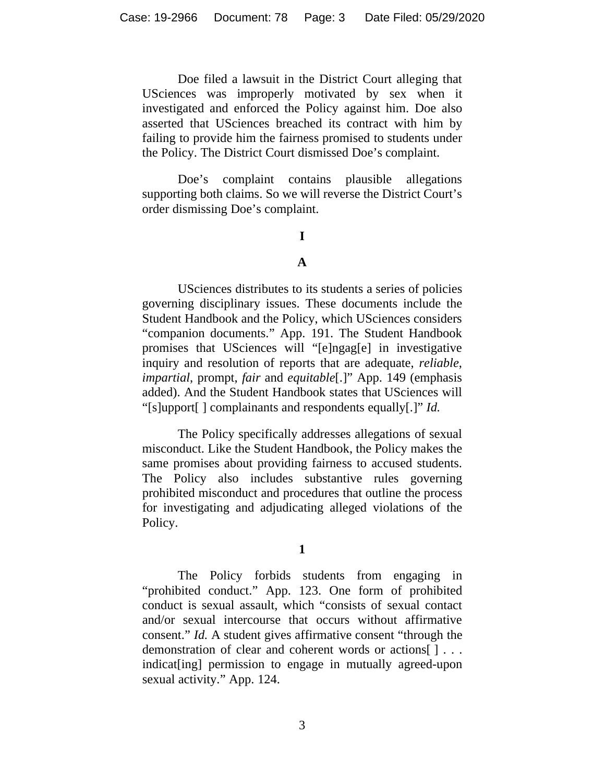Doe filed a lawsuit in the District Court alleging that USciences was improperly motivated by sex when it investigated and enforced the Policy against him. Doe also asserted that USciences breached its contract with him by failing to provide him the fairness promised to students under the Policy. The District Court dismissed Doe's complaint.

Doe's complaint contains plausible allegations supporting both claims. So we will reverse the District Court's order dismissing Doe's complaint.

# **I**

## **A**

USciences distributes to its students a series of policies governing disciplinary issues. These documents include the Student Handbook and the Policy, which USciences considers "companion documents." App. 191. The Student Handbook promises that USciences will "[e]ngag[e] in investigative inquiry and resolution of reports that are adequate, *reliable*, *impartial*, prompt, *fair* and *equitable*[.]" App. 149 (emphasis added). And the Student Handbook states that USciences will "[s]upport[ ] complainants and respondents equally[.]" *Id.*

The Policy specifically addresses allegations of sexual misconduct. Like the Student Handbook, the Policy makes the same promises about providing fairness to accused students. The Policy also includes substantive rules governing prohibited misconduct and procedures that outline the process for investigating and adjudicating alleged violations of the Policy.

**1**

The Policy forbids students from engaging in "prohibited conduct." App. 123. One form of prohibited conduct is sexual assault, which "consists of sexual contact and/or sexual intercourse that occurs without affirmative consent." *Id.* A student gives affirmative consent "through the demonstration of clear and coherent words or actions[ ] . . . indicat[ing] permission to engage in mutually agreed-upon sexual activity." App. 124.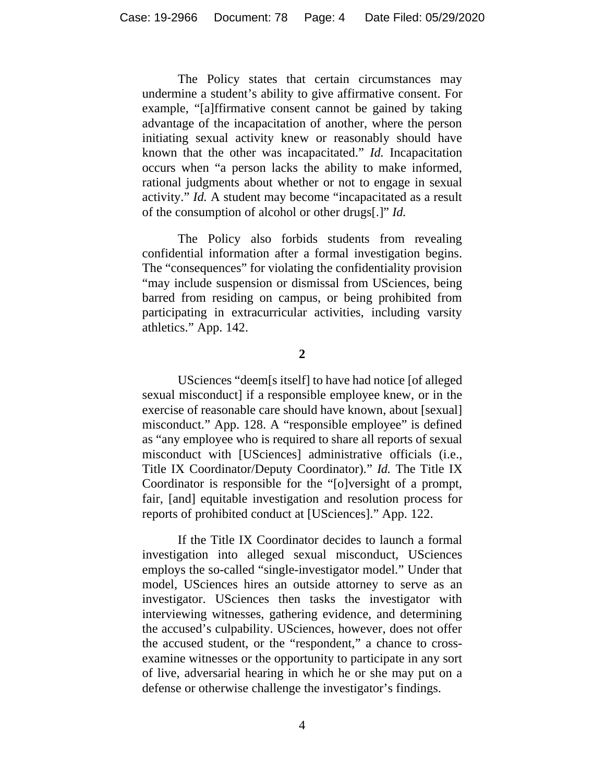The Policy states that certain circumstances may undermine a student's ability to give affirmative consent. For example, "[a]ffirmative consent cannot be gained by taking advantage of the incapacitation of another, where the person initiating sexual activity knew or reasonably should have known that the other was incapacitated." *Id.* Incapacitation occurs when "a person lacks the ability to make informed, rational judgments about whether or not to engage in sexual activity." *Id.* A student may become "incapacitated as a result of the consumption of alcohol or other drugs[.]" *Id.*

The Policy also forbids students from revealing confidential information after a formal investigation begins. The "consequences" for violating the confidentiality provision "may include suspension or dismissal from USciences, being barred from residing on campus, or being prohibited from participating in extracurricular activities, including varsity athletics." App. 142.

**2**

USciences "deem[s itself] to have had notice [of alleged sexual misconduct] if a responsible employee knew, or in the exercise of reasonable care should have known, about [sexual] misconduct." App. 128. A "responsible employee" is defined as "any employee who is required to share all reports of sexual misconduct with [USciences] administrative officials (i.e., Title IX Coordinator/Deputy Coordinator)." *Id.* The Title IX Coordinator is responsible for the "[o]versight of a prompt, fair, [and] equitable investigation and resolution process for reports of prohibited conduct at [USciences]." App. 122.

If the Title IX Coordinator decides to launch a formal investigation into alleged sexual misconduct, USciences employs the so-called "single-investigator model." Under that model, USciences hires an outside attorney to serve as an investigator. USciences then tasks the investigator with interviewing witnesses, gathering evidence, and determining the accused's culpability. USciences, however, does not offer the accused student, or the "respondent," a chance to crossexamine witnesses or the opportunity to participate in any sort of live, adversarial hearing in which he or she may put on a defense or otherwise challenge the investigator's findings.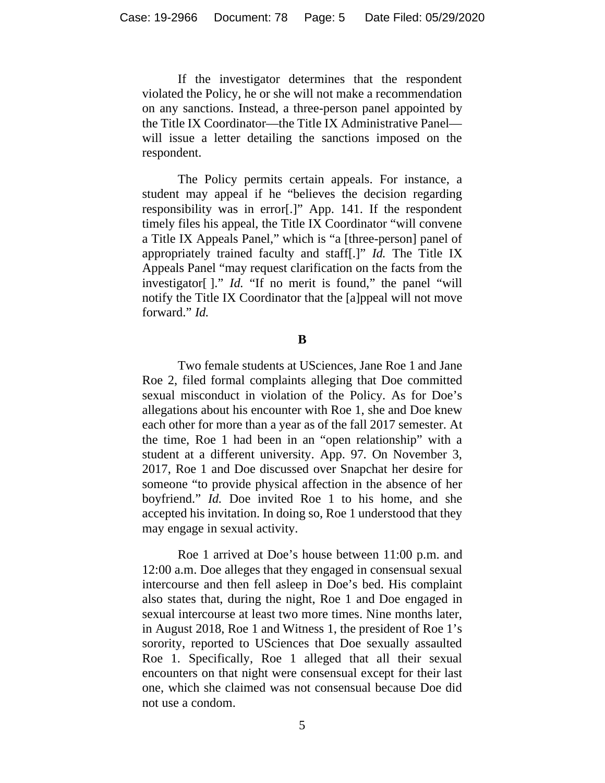If the investigator determines that the respondent violated the Policy, he or she will not make a recommendation on any sanctions. Instead, a three-person panel appointed by the Title IX Coordinator—the Title IX Administrative Panel will issue a letter detailing the sanctions imposed on the respondent.

The Policy permits certain appeals. For instance, a student may appeal if he "believes the decision regarding responsibility was in error[.]" App. 141. If the respondent timely files his appeal, the Title IX Coordinator "will convene a Title IX Appeals Panel," which is "a [three-person] panel of appropriately trained faculty and staff[.]" *Id.* The Title IX Appeals Panel "may request clarification on the facts from the investigator[ ]." *Id.* "If no merit is found," the panel "will notify the Title IX Coordinator that the [a]ppeal will not move forward." *Id.*

**B**

Two female students at USciences, Jane Roe 1 and Jane Roe 2, filed formal complaints alleging that Doe committed sexual misconduct in violation of the Policy. As for Doe's allegations about his encounter with Roe 1, she and Doe knew each other for more than a year as of the fall 2017 semester. At the time, Roe 1 had been in an "open relationship" with a student at a different university. App. 97. On November 3, 2017, Roe 1 and Doe discussed over Snapchat her desire for someone "to provide physical affection in the absence of her boyfriend." *Id.* Doe invited Roe 1 to his home, and she accepted his invitation. In doing so, Roe 1 understood that they may engage in sexual activity.

Roe 1 arrived at Doe's house between 11:00 p.m. and 12:00 a.m. Doe alleges that they engaged in consensual sexual intercourse and then fell asleep in Doe's bed. His complaint also states that, during the night, Roe 1 and Doe engaged in sexual intercourse at least two more times. Nine months later, in August 2018, Roe 1 and Witness 1, the president of Roe 1's sorority, reported to USciences that Doe sexually assaulted Roe 1. Specifically, Roe 1 alleged that all their sexual encounters on that night were consensual except for their last one, which she claimed was not consensual because Doe did not use a condom.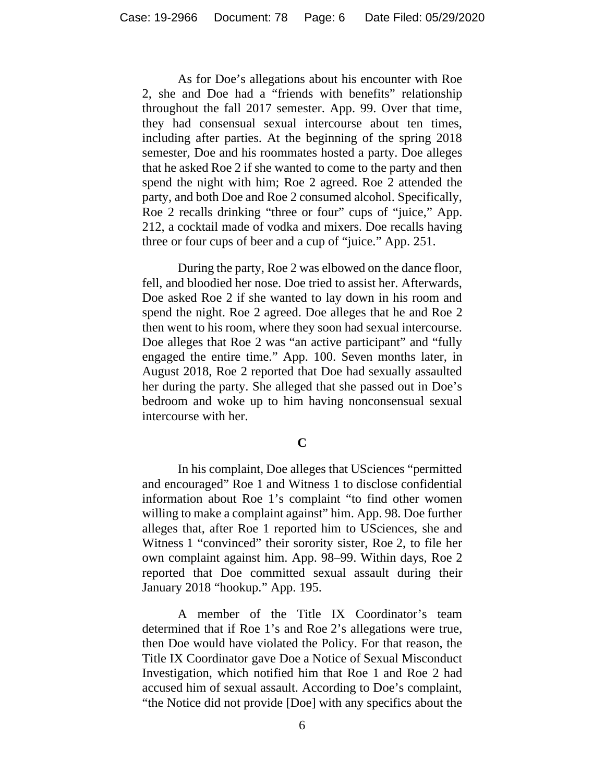As for Doe's allegations about his encounter with Roe 2, she and Doe had a "friends with benefits" relationship throughout the fall 2017 semester. App. 99. Over that time, they had consensual sexual intercourse about ten times, including after parties. At the beginning of the spring 2018 semester, Doe and his roommates hosted a party. Doe alleges that he asked Roe 2 if she wanted to come to the party and then spend the night with him; Roe 2 agreed. Roe 2 attended the party, and both Doe and Roe 2 consumed alcohol. Specifically, Roe 2 recalls drinking "three or four" cups of "juice," App. 212, a cocktail made of vodka and mixers. Doe recalls having three or four cups of beer and a cup of "juice." App. 251.

During the party, Roe 2 was elbowed on the dance floor, fell, and bloodied her nose. Doe tried to assist her. Afterwards, Doe asked Roe 2 if she wanted to lay down in his room and spend the night. Roe 2 agreed. Doe alleges that he and Roe 2 then went to his room, where they soon had sexual intercourse. Doe alleges that Roe 2 was "an active participant" and "fully engaged the entire time." App. 100. Seven months later, in August 2018, Roe 2 reported that Doe had sexually assaulted her during the party. She alleged that she passed out in Doe's bedroom and woke up to him having nonconsensual sexual intercourse with her.

## **C**

In his complaint, Doe alleges that USciences "permitted and encouraged" Roe 1 and Witness 1 to disclose confidential information about Roe 1's complaint "to find other women willing to make a complaint against" him. App. 98. Doe further alleges that, after Roe 1 reported him to USciences, she and Witness 1 "convinced" their sorority sister, Roe 2, to file her own complaint against him. App. 98–99. Within days, Roe 2 reported that Doe committed sexual assault during their January 2018 "hookup." App. 195.

A member of the Title IX Coordinator's team determined that if Roe 1's and Roe 2's allegations were true, then Doe would have violated the Policy. For that reason, the Title IX Coordinator gave Doe a Notice of Sexual Misconduct Investigation, which notified him that Roe 1 and Roe 2 had accused him of sexual assault. According to Doe's complaint, "the Notice did not provide [Doe] with any specifics about the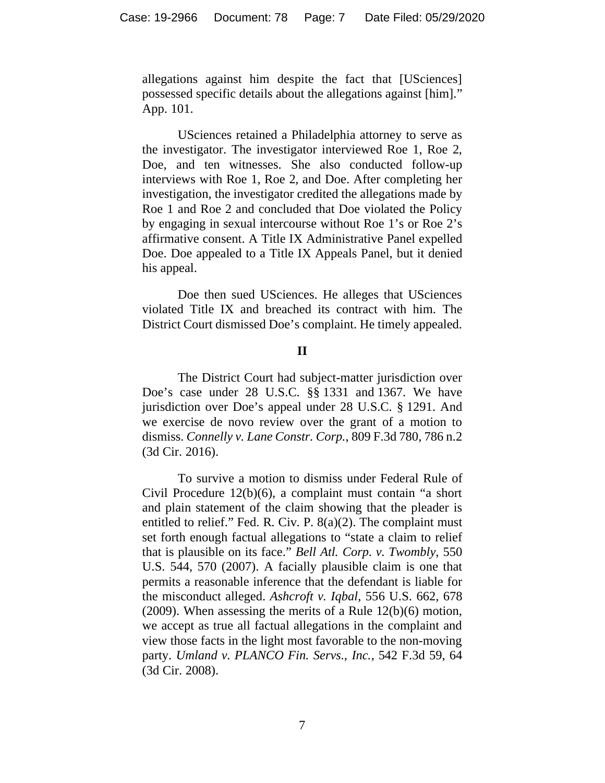allegations against him despite the fact that [USciences] possessed specific details about the allegations against [him]." App. 101.

USciences retained a Philadelphia attorney to serve as the investigator. The investigator interviewed Roe 1, Roe 2, Doe, and ten witnesses. She also conducted follow-up interviews with Roe 1, Roe 2, and Doe. After completing her investigation, the investigator credited the allegations made by Roe 1 and Roe 2 and concluded that Doe violated the Policy by engaging in sexual intercourse without Roe 1's or Roe 2's affirmative consent. A Title IX Administrative Panel expelled Doe. Doe appealed to a Title IX Appeals Panel, but it denied his appeal.

Doe then sued USciences. He alleges that USciences violated Title IX and breached its contract with him. The District Court dismissed Doe's complaint. He timely appealed.

## **II**

The District Court had subject-matter jurisdiction over Doe's case under 28 U.S.C. §§ 1331 and 1367. We have jurisdiction over Doe's appeal under 28 U.S.C. § 1291. And we exercise de novo review over the grant of a motion to dismiss. *Connelly v. Lane Constr. Corp.*, 809 F.3d 780, 786 n.2 (3d Cir. 2016).

To survive a motion to dismiss under Federal Rule of Civil Procedure 12(b)(6), a complaint must contain "a short and plain statement of the claim showing that the pleader is entitled to relief." Fed. R. Civ. P. 8(a)(2). The complaint must set forth enough factual allegations to "state a claim to relief that is plausible on its face." *Bell Atl. Corp. v. Twombly*, 550 U.S. 544, 570 (2007). A facially plausible claim is one that permits a reasonable inference that the defendant is liable for the misconduct alleged. *Ashcroft v. Iqbal*, 556 U.S. 662, 678 (2009). When assessing the merits of a Rule 12(b)(6) motion, we accept as true all factual allegations in the complaint and view those facts in the light most favorable to the non-moving party. *Umland v. PLANCO Fin. Servs., Inc.*, 542 F.3d 59, 64 (3d Cir. 2008).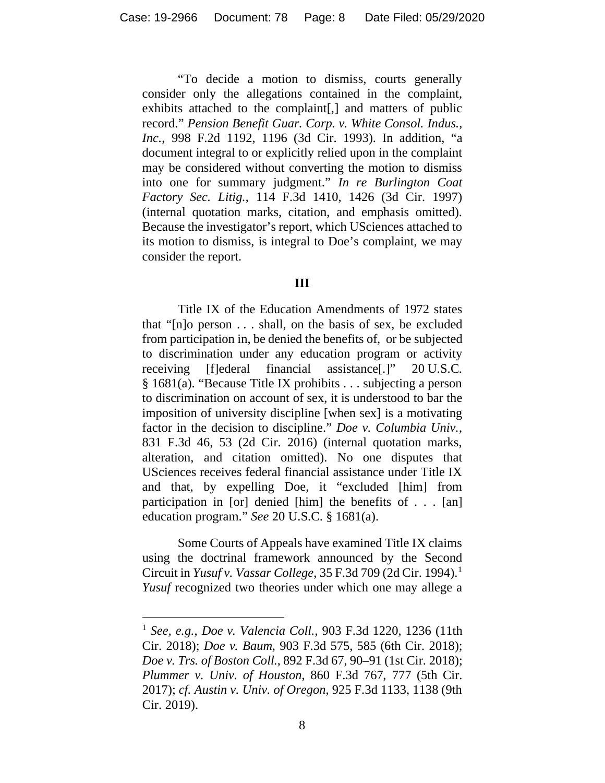"To decide a motion to dismiss, courts generally consider only the allegations contained in the complaint, exhibits attached to the complaint[,] and matters of public record." *Pension Benefit Guar. Corp. v. White Consol. Indus., Inc.*, 998 F.2d 1192, 1196 (3d Cir. 1993). In addition, "a document integral to or explicitly relied upon in the complaint may be considered without converting the motion to dismiss into one for summary judgment." *In re Burlington Coat Factory Sec. Litig.*, 114 F.3d 1410, 1426 (3d Cir. 1997) (internal quotation marks, citation, and emphasis omitted). Because the investigator's report, which USciences attached to its motion to dismiss, is integral to Doe's complaint, we may consider the report.

### **III**

Title IX of the Education Amendments of 1972 states that "[n]o person . . . shall, on the basis of sex, be excluded from participation in, be denied the benefits of, or be subjected to discrimination under any education program or activity receiving [f]ederal financial assistance[.]" 20 U.S.C. § 1681(a). "Because Title IX prohibits . . . subjecting a person to discrimination on account of sex, it is understood to bar the imposition of university discipline [when sex] is a motivating factor in the decision to discipline." *Doe v. Columbia Univ.*, 831 F.3d 46, 53 (2d Cir. 2016) (internal quotation marks, alteration, and citation omitted). No one disputes that USciences receives federal financial assistance under Title IX and that, by expelling Doe, it "excluded [him] from participation in [or] denied [him] the benefits of . . . [an] education program." *See* 20 U.S.C. § 1681(a).

Some Courts of Appeals have examined Title IX claims using the doctrinal framework announced by the Second Circuit in *Yusuf v. Vassar College*, 35 F.3d 709 (2d Cir. 1994). [1](#page-7-0) *Yusuf* recognized two theories under which one may allege a

<span id="page-7-0"></span><sup>1</sup> *See, e.g.*, *Doe v. Valencia Coll.*, 903 F.3d 1220, 1236 (11th Cir. 2018); *Doe v. Baum*, 903 F.3d 575, 585 (6th Cir. 2018); *Doe v. Trs. of Boston Coll.*, 892 F.3d 67, 90–91 (1st Cir. 2018); *Plummer v. Univ. of Houston*, 860 F.3d 767, 777 (5th Cir. 2017); *cf. Austin v. Univ. of Oregon*, 925 F.3d 1133, 1138 (9th Cir. 2019).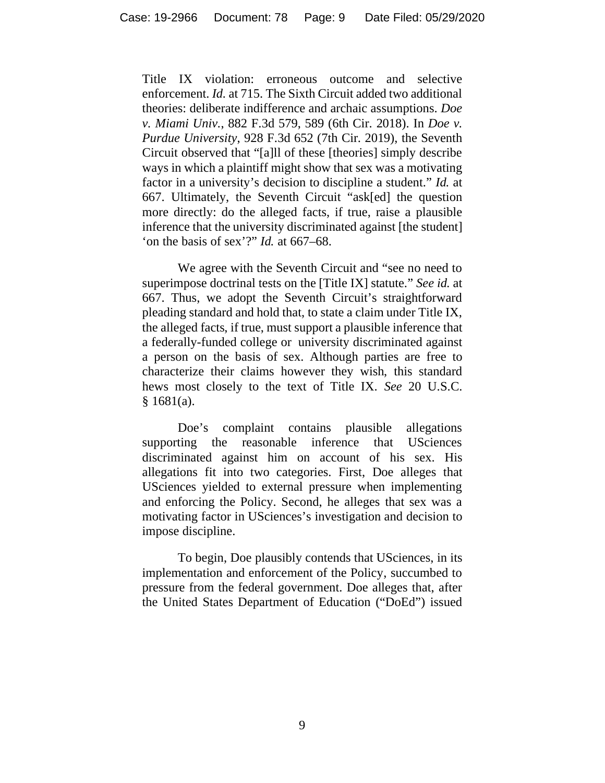Title IX violation: erroneous outcome and selective enforcement. *Id.* at 715. The Sixth Circuit added two additional theories: deliberate indifference and archaic assumptions. *Doe v. Miami Univ.*, 882 F.3d 579, 589 (6th Cir. 2018). In *Doe v. Purdue University*, 928 F.3d 652 (7th Cir. 2019), the Seventh Circuit observed that "[a]ll of these [theories] simply describe ways in which a plaintiff might show that sex was a motivating factor in a university's decision to discipline a student." *Id.* at 667. Ultimately, the Seventh Circuit "ask[ed] the question more directly: do the alleged facts, if true, raise a plausible inference that the university discriminated against [the student] 'on the basis of sex'?" *Id.* at 667–68.

We agree with the Seventh Circuit and "see no need to superimpose doctrinal tests on the [Title IX] statute." *See id.* at 667. Thus, we adopt the Seventh Circuit's straightforward pleading standard and hold that, to state a claim under Title IX, the alleged facts, if true, must support a plausible inference that a federally-funded college or university discriminated against a person on the basis of sex. Although parties are free to characterize their claims however they wish, this standard hews most closely to the text of Title IX. *See* 20 U.S.C.  $§ 1681(a).$ 

Doe's complaint contains plausible allegations supporting the reasonable inference that USciences discriminated against him on account of his sex. His allegations fit into two categories. First, Doe alleges that USciences yielded to external pressure when implementing and enforcing the Policy. Second, he alleges that sex was a motivating factor in USciences's investigation and decision to impose discipline.

To begin, Doe plausibly contends that USciences, in its implementation and enforcement of the Policy, succumbed to pressure from the federal government. Doe alleges that, after the United States Department of Education ("DoEd") issued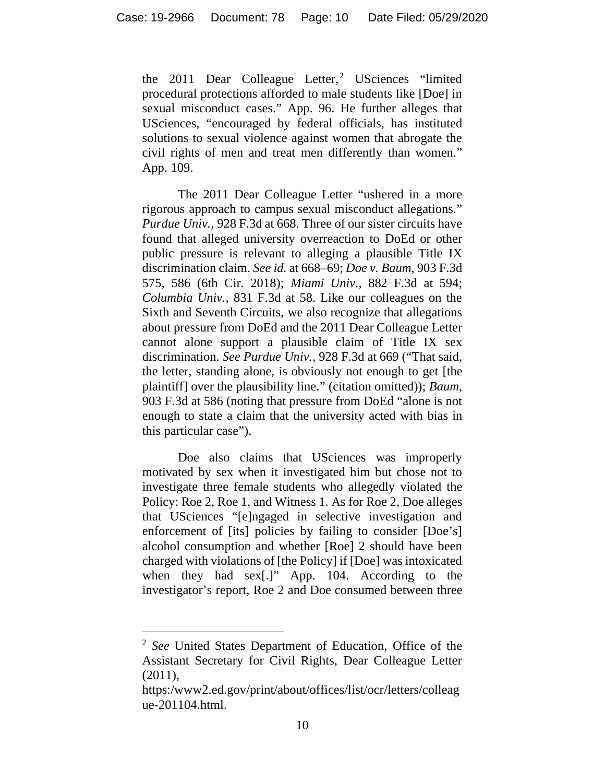the [2](#page-9-0)011 Dear Colleague Letter,<sup>2</sup> USciences "limited procedural protections afforded to male students like [Doe] in sexual misconduct cases." App. 96. He further alleges that USciences, "encouraged by federal officials, has instituted solutions to sexual violence against women that abrogate the civil rights of men and treat men differently than women." App. 109.

The 2011 Dear Colleague Letter "ushered in a more rigorous approach to campus sexual misconduct allegations." *Purdue Univ.*, 928 F.3d at 668. Three of our sister circuits have found that alleged university overreaction to DoEd or other public pressure is relevant to alleging a plausible Title IX discrimination claim. *See id.* at 668–69; *Doe v. Baum*, 903 F.3d 575, 586 (6th Cir. 2018); *Miami Univ.*, 882 F.3d at 594; *Columbia Univ.*, 831 F.3d at 58. Like our colleagues on the Sixth and Seventh Circuits, we also recognize that allegations about pressure from DoEd and the 2011 Dear Colleague Letter cannot alone support a plausible claim of Title IX sex discrimination. *See Purdue Univ.*, 928 F.3d at 669 ("That said, the letter, standing alone, is obviously not enough to get [the plaintiff] over the plausibility line." (citation omitted)); *Baum*, 903 F.3d at 586 (noting that pressure from DoEd "alone is not enough to state a claim that the university acted with bias in this particular case").

Doe also claims that USciences was improperly motivated by sex when it investigated him but chose not to investigate three female students who allegedly violated the Policy: Roe 2, Roe 1, and Witness 1. As for Roe 2, Doe alleges that USciences "[e]ngaged in selective investigation and enforcement of [its] policies by failing to consider [Doe's] alcohol consumption and whether [Roe] 2 should have been charged with violations of [the Policy] if [Doe] was intoxicated when they had sex[.]" App. 104. According to the investigator's report, Roe 2 and Doe consumed between three

<span id="page-9-0"></span><sup>2</sup> *See* United States Department of Education, Office of the Assistant Secretary for Civil Rights, Dear Colleague Letter (2011),

https:/www2.ed.gov/print/about/offices/list/ocr/letters/colleag ue-201104.html.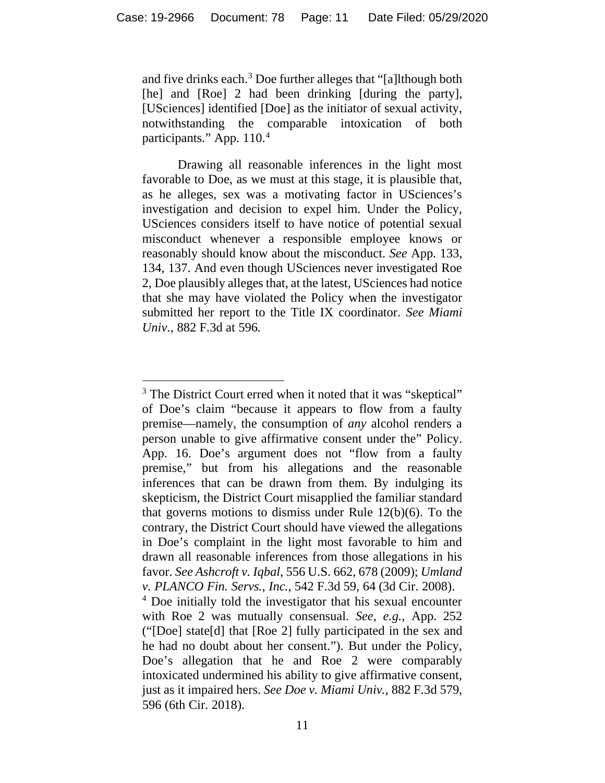and five drinks each.[3](#page-10-0) Doe further alleges that "[a]lthough both [he] and [Roe] 2 had been drinking [during the party], [USciences] identified [Doe] as the initiator of sexual activity, notwithstanding the comparable intoxication of both participants." App. 110.<sup>[4](#page-10-1)</sup>

Drawing all reasonable inferences in the light most favorable to Doe, as we must at this stage, it is plausible that, as he alleges, sex was a motivating factor in USciences's investigation and decision to expel him. Under the Policy, USciences considers itself to have notice of potential sexual misconduct whenever a responsible employee knows or reasonably should know about the misconduct. *See* App. 133, 134, 137. And even though USciences never investigated Roe 2, Doe plausibly alleges that, at the latest, USciences had notice that she may have violated the Policy when the investigator submitted her report to the Title IX coordinator. *See Miami Univ*., 882 F.3d at 596.

<span id="page-10-0"></span><sup>&</sup>lt;sup>3</sup> The District Court erred when it noted that it was "skeptical" of Doe's claim "because it appears to flow from a faulty premise—namely, the consumption of *any* alcohol renders a person unable to give affirmative consent under the" Policy. App. 16. Doe's argument does not "flow from a faulty premise," but from his allegations and the reasonable inferences that can be drawn from them. By indulging its skepticism, the District Court misapplied the familiar standard that governs motions to dismiss under Rule 12(b)(6). To the contrary, the District Court should have viewed the allegations in Doe's complaint in the light most favorable to him and drawn all reasonable inferences from those allegations in his favor. *See Ashcroft v. Iqbal*, 556 U.S. 662, 678 (2009); *Umland v. PLANCO Fin. Servs., Inc.*, 542 F.3d 59, 64 (3d Cir. 2008).

<span id="page-10-1"></span><sup>&</sup>lt;sup>4</sup> Doe initially told the investigator that his sexual encounter with Roe 2 was mutually consensual. *See, e.g.*, App. 252 ("[Doe] state[d] that [Roe 2] fully participated in the sex and he had no doubt about her consent."). But under the Policy, Doe's allegation that he and Roe 2 were comparably intoxicated undermined his ability to give affirmative consent, just as it impaired hers. *See Doe v. Miami Univ.*, 882 F.3d 579, 596 (6th Cir. 2018).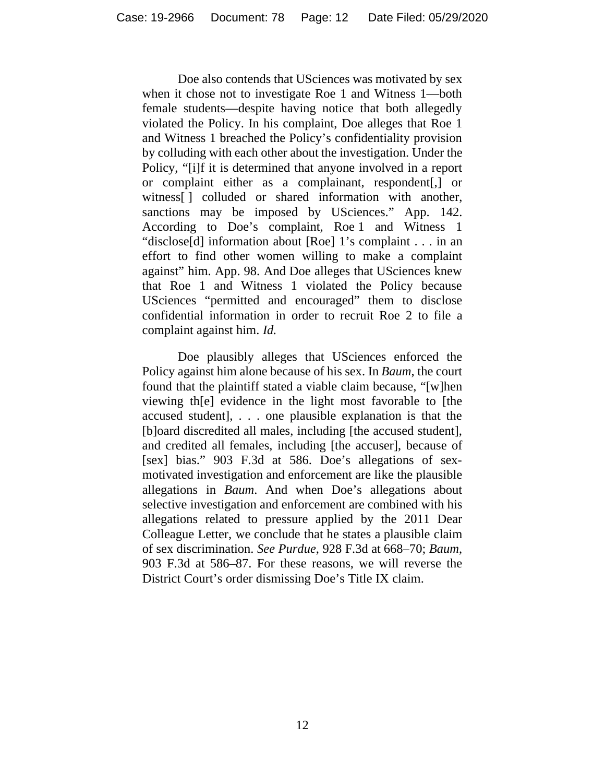Doe also contends that USciences was motivated by sex when it chose not to investigate Roe 1 and Witness 1—both female students—despite having notice that both allegedly violated the Policy. In his complaint, Doe alleges that Roe 1 and Witness 1 breached the Policy's confidentiality provision by colluding with each other about the investigation. Under the Policy, "[i]f it is determined that anyone involved in a report or complaint either as a complainant, respondent[,] or witness[] colluded or shared information with another, sanctions may be imposed by USciences." App. 142. According to Doe's complaint, Roe 1 and Witness 1 "disclose[d] information about [Roe] 1's complaint . . . in an effort to find other women willing to make a complaint against" him. App. 98. And Doe alleges that USciences knew that Roe 1 and Witness 1 violated the Policy because USciences "permitted and encouraged" them to disclose confidential information in order to recruit Roe 2 to file a complaint against him. *Id.*

Doe plausibly alleges that USciences enforced the Policy against him alone because of his sex. In *Baum*, the court found that the plaintiff stated a viable claim because, "[w]hen viewing th[e] evidence in the light most favorable to [the accused student], . . . one plausible explanation is that the [b]oard discredited all males, including [the accused student], and credited all females, including [the accuser], because of [sex] bias." 903 F.3d at 586. Doe's allegations of sexmotivated investigation and enforcement are like the plausible allegations in *Baum*. And when Doe's allegations about selective investigation and enforcement are combined with his allegations related to pressure applied by the 2011 Dear Colleague Letter, we conclude that he states a plausible claim of sex discrimination. *See Purdue*, 928 F.3d at 668–70; *Baum*, 903 F.3d at 586–87. For these reasons, we will reverse the District Court's order dismissing Doe's Title IX claim.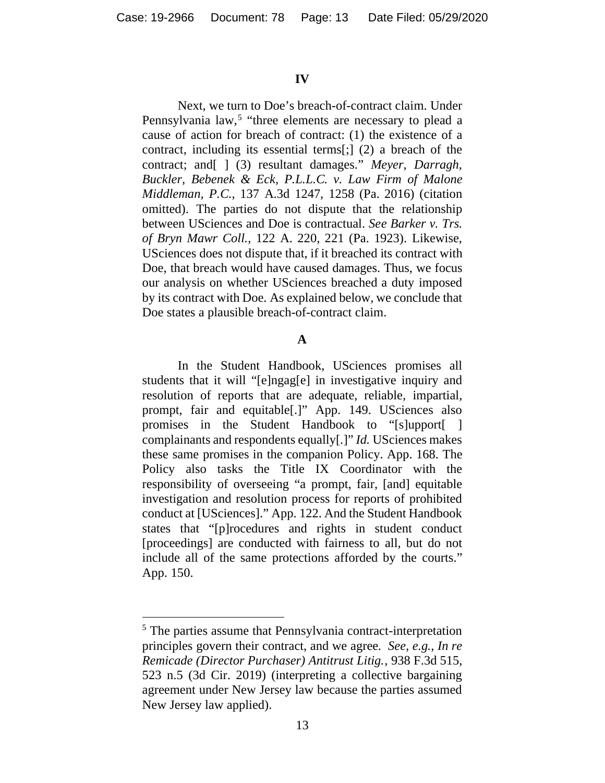### **IV**

Next, we turn to Doe's breach-of-contract claim. Under Pennsylvania law,<sup>[5](#page-12-0)</sup> "three elements are necessary to plead a cause of action for breach of contract: (1) the existence of a contract, including its essential terms[;] (2) a breach of the contract; and[ ] (3) resultant damages." *Meyer, Darragh, Buckler, Bebenek & Eck, P.L.L.C. v. Law Firm of Malone Middleman, P.C.*, 137 A.3d 1247, 1258 (Pa. 2016) (citation omitted). The parties do not dispute that the relationship between USciences and Doe is contractual. *See Barker v. Trs. of Bryn Mawr Coll.*, 122 A. 220, 221 (Pa. 1923). Likewise, USciences does not dispute that, if it breached its contract with Doe, that breach would have caused damages. Thus, we focus our analysis on whether USciences breached a duty imposed by its contract with Doe. As explained below, we conclude that Doe states a plausible breach-of-contract claim.

### **A**

In the Student Handbook, USciences promises all students that it will "[e]ngag[e] in investigative inquiry and resolution of reports that are adequate, reliable, impartial, prompt, fair and equitable[.]" App. 149. USciences also promises in the Student Handbook to "[s]upport[ ] complainants and respondents equally[.]" *Id.* USciences makes these same promises in the companion Policy. App. 168. The Policy also tasks the Title IX Coordinator with the responsibility of overseeing "a prompt, fair, [and] equitable investigation and resolution process for reports of prohibited conduct at [USciences]." App. 122. And the Student Handbook states that "[p]rocedures and rights in student conduct [proceedings] are conducted with fairness to all, but do not include all of the same protections afforded by the courts." App. 150.

<span id="page-12-0"></span><sup>&</sup>lt;sup>5</sup> The parties assume that Pennsylvania contract-interpretation principles govern their contract, and we agree. *See, e.g., In re Remicade (Director Purchaser) Antitrust Litig.*, 938 F.3d 515, 523 n.5 (3d Cir. 2019) (interpreting a collective bargaining agreement under New Jersey law because the parties assumed New Jersey law applied).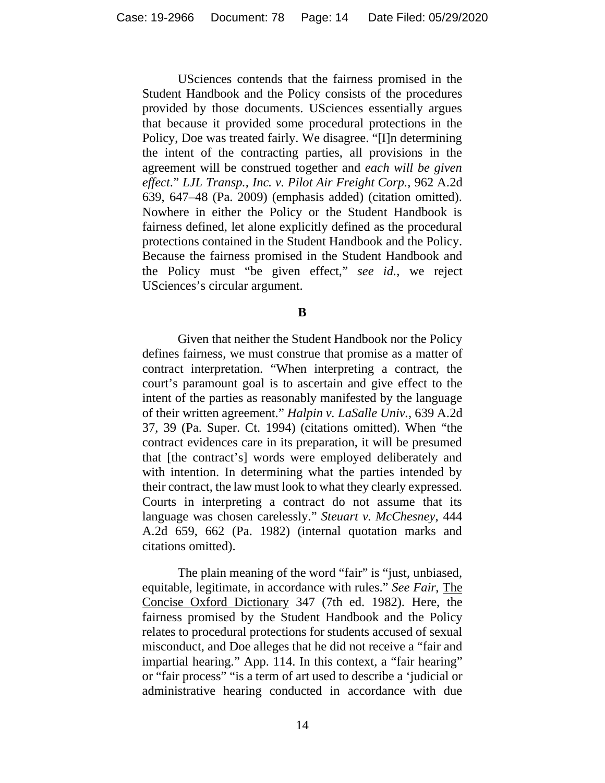USciences contends that the fairness promised in the Student Handbook and the Policy consists of the procedures provided by those documents. USciences essentially argues that because it provided some procedural protections in the Policy, Doe was treated fairly. We disagree. "[I]n determining the intent of the contracting parties, all provisions in the agreement will be construed together and *each will be given effect*." *LJL Transp., Inc. v. Pilot Air Freight Corp.*, 962 A.2d 639, 647–48 (Pa. 2009) (emphasis added) (citation omitted). Nowhere in either the Policy or the Student Handbook is fairness defined, let alone explicitly defined as the procedural protections contained in the Student Handbook and the Policy. Because the fairness promised in the Student Handbook and the Policy must "be given effect," *see id.*, we reject USciences's circular argument.

### **B**

Given that neither the Student Handbook nor the Policy defines fairness, we must construe that promise as a matter of contract interpretation. "When interpreting a contract, the court's paramount goal is to ascertain and give effect to the intent of the parties as reasonably manifested by the language of their written agreement." *Halpin v. LaSalle Univ.*, 639 A.2d 37, 39 (Pa. Super. Ct. 1994) (citations omitted). When "the contract evidences care in its preparation, it will be presumed that [the contract's] words were employed deliberately and with intention. In determining what the parties intended by their contract, the law must look to what they clearly expressed. Courts in interpreting a contract do not assume that its language was chosen carelessly." *Steuart v. McChesney*, 444 A.2d 659, 662 (Pa. 1982) (internal quotation marks and citations omitted).

The plain meaning of the word "fair" is "just, unbiased, equitable, legitimate, in accordance with rules." *See Fair*, The Concise Oxford Dictionary 347 (7th ed. 1982). Here, the fairness promised by the Student Handbook and the Policy relates to procedural protections for students accused of sexual misconduct, and Doe alleges that he did not receive a "fair and impartial hearing." App. 114. In this context, a "fair hearing" or "fair process" "is a term of art used to describe a 'judicial or administrative hearing conducted in accordance with due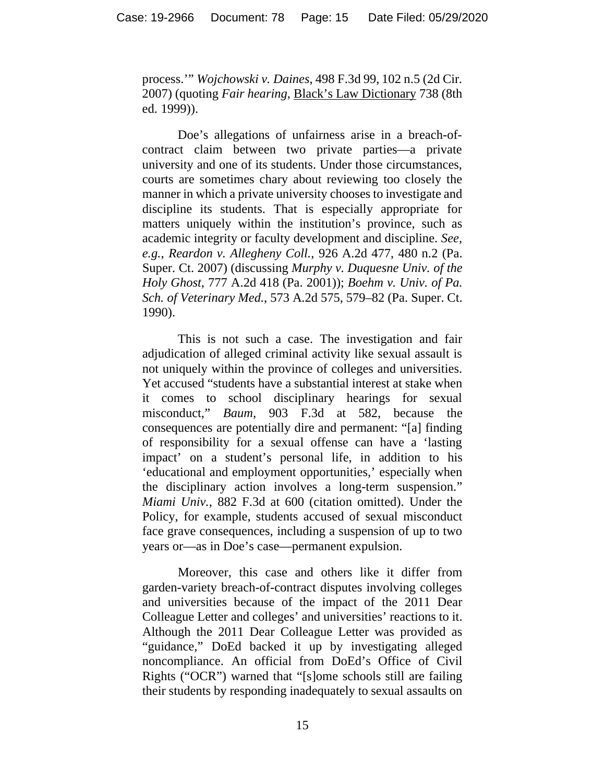process.'" *Wojchowski v. Daines*, 498 F.3d 99, 102 n.5 (2d Cir. 2007) (quoting *Fair hearing*, Black's Law Dictionary 738 (8th ed. 1999)).

Doe's allegations of unfairness arise in a breach-ofcontract claim between two private parties—a private university and one of its students. Under those circumstances, courts are sometimes chary about reviewing too closely the manner in which a private university chooses to investigate and discipline its students. That is especially appropriate for matters uniquely within the institution's province, such as academic integrity or faculty development and discipline. *See, e.g.*, *Reardon v. Allegheny Coll.*, 926 A.2d 477, 480 n.2 (Pa. Super. Ct. 2007) (discussing *Murphy v. Duquesne Univ. of the Holy Ghost*, 777 A.2d 418 (Pa. 2001)); *Boehm v. Univ. of Pa. Sch. of Veterinary Med.*, 573 A.2d 575, 579–82 (Pa. Super. Ct. 1990).

This is not such a case. The investigation and fair adjudication of alleged criminal activity like sexual assault is not uniquely within the province of colleges and universities. Yet accused "students have a substantial interest at stake when it comes to school disciplinary hearings for sexual misconduct," *Baum*, 903 F.3d at 582, because the consequences are potentially dire and permanent: "[a] finding of responsibility for a sexual offense can have a 'lasting impact' on a student's personal life, in addition to his 'educational and employment opportunities,' especially when the disciplinary action involves a long-term suspension." *Miami Univ.*, 882 F.3d at 600 (citation omitted). Under the Policy, for example, students accused of sexual misconduct face grave consequences, including a suspension of up to two years or—as in Doe's case—permanent expulsion.

Moreover, this case and others like it differ from garden-variety breach-of-contract disputes involving colleges and universities because of the impact of the 2011 Dear Colleague Letter and colleges' and universities' reactions to it. Although the 2011 Dear Colleague Letter was provided as "guidance," DoEd backed it up by investigating alleged noncompliance. An official from DoEd's Office of Civil Rights ("OCR") warned that "[s]ome schools still are failing their students by responding inadequately to sexual assaults on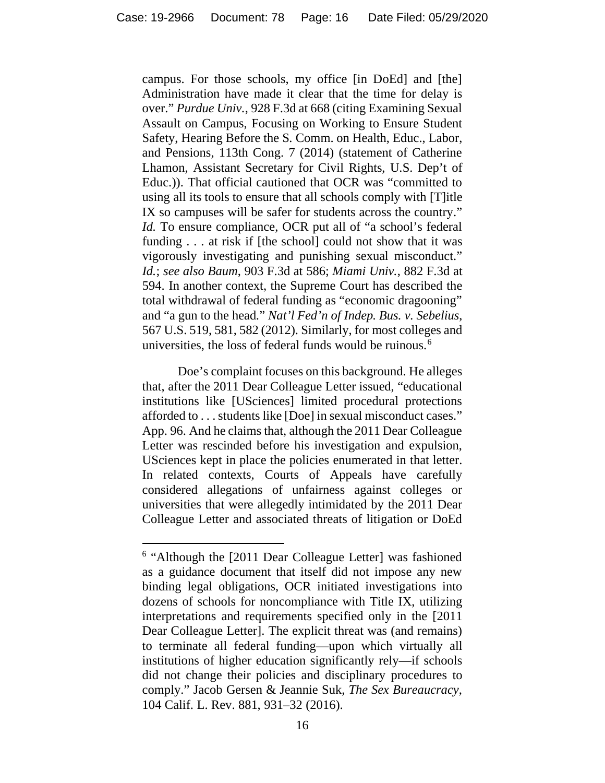campus. For those schools, my office [in DoEd] and [the] Administration have made it clear that the time for delay is over." *Purdue Univ.*, 928 F.3d at 668 (citing Examining Sexual Assault on Campus, Focusing on Working to Ensure Student Safety, Hearing Before the S. Comm. on Health, Educ., Labor, and Pensions, 113th Cong. 7 (2014) (statement of Catherine Lhamon, Assistant Secretary for Civil Rights, U.S. Dep't of Educ.)). That official cautioned that OCR was "committed to using all its tools to ensure that all schools comply with [T]itle IX so campuses will be safer for students across the country." *Id.* To ensure compliance, OCR put all of "a school's federal funding . . . at risk if [the school] could not show that it was vigorously investigating and punishing sexual misconduct." *Id.*; *see also Baum*, 903 F.3d at 586; *Miami Univ.*, 882 F.3d at 594. In another context, the Supreme Court has described the total withdrawal of federal funding as "economic dragooning" and "a gun to the head." *Nat'l Fed'n of Indep. Bus. v. Sebelius*, 567 U.S. 519, 581, 582 (2012). Similarly, for most colleges and universities, the loss of federal funds would be ruinous.<sup>[6](#page-15-0)</sup>

Doe's complaint focuses on this background. He alleges that, after the 2011 Dear Colleague Letter issued, "educational institutions like [USciences] limited procedural protections afforded to . . . students like [Doe] in sexual misconduct cases." App. 96. And he claims that, although the 2011 Dear Colleague Letter was rescinded before his investigation and expulsion, USciences kept in place the policies enumerated in that letter. In related contexts, Courts of Appeals have carefully considered allegations of unfairness against colleges or universities that were allegedly intimidated by the 2011 Dear Colleague Letter and associated threats of litigation or DoEd

<span id="page-15-0"></span><sup>&</sup>lt;sup>6</sup> "Although the [2011 Dear Colleague Letter] was fashioned as a guidance document that itself did not impose any new binding legal obligations, OCR initiated investigations into dozens of schools for noncompliance with Title IX, utilizing interpretations and requirements specified only in the [2011 Dear Colleague Letter]. The explicit threat was (and remains) to terminate all federal funding—upon which virtually all institutions of higher education significantly rely—if schools did not change their policies and disciplinary procedures to comply." Jacob Gersen & Jeannie Suk, *The Sex Bureaucracy*, 104 Calif. L. Rev. 881, 931–32 (2016).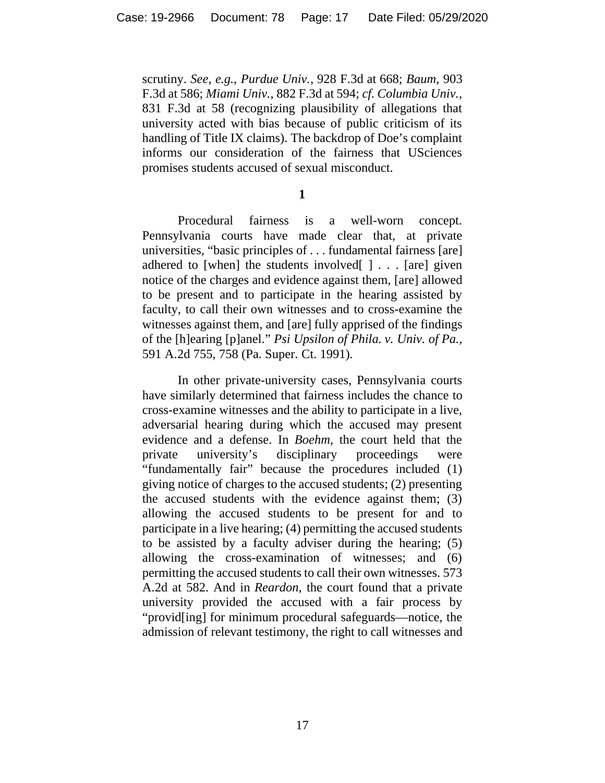scrutiny. *See, e.g.*, *Purdue Univ.*, 928 F.3d at 668; *Baum*, 903 F.3d at 586; *Miami Univ.*, 882 F.3d at 594; *cf. Columbia Univ.*, 831 F.3d at 58 (recognizing plausibility of allegations that university acted with bias because of public criticism of its handling of Title IX claims). The backdrop of Doe's complaint informs our consideration of the fairness that USciences promises students accused of sexual misconduct.

**1**

Procedural fairness is a well-worn concept. Pennsylvania courts have made clear that, at private universities, "basic principles of . . . fundamental fairness [are] adhered to [when] the students involved[ ] . . . [are] given notice of the charges and evidence against them, [are] allowed to be present and to participate in the hearing assisted by faculty, to call their own witnesses and to cross-examine the witnesses against them, and [are] fully apprised of the findings of the [h]earing [p]anel." *Psi Upsilon of Phila. v. Univ. of Pa.*, 591 A.2d 755, 758 (Pa. Super. Ct. 1991)*.*

In other private-university cases, Pennsylvania courts have similarly determined that fairness includes the chance to cross-examine witnesses and the ability to participate in a live, adversarial hearing during which the accused may present evidence and a defense. In *Boehm*, the court held that the private university's disciplinary proceedings were "fundamentally fair" because the procedures included (1) giving notice of charges to the accused students; (2) presenting the accused students with the evidence against them; (3) allowing the accused students to be present for and to participate in a live hearing; (4) permitting the accused students to be assisted by a faculty adviser during the hearing; (5) allowing the cross-examination of witnesses; and (6) permitting the accused students to call their own witnesses. 573 A.2d at 582. And in *Reardon*, the court found that a private university provided the accused with a fair process by "provid[ing] for minimum procedural safeguards—notice, the admission of relevant testimony, the right to call witnesses and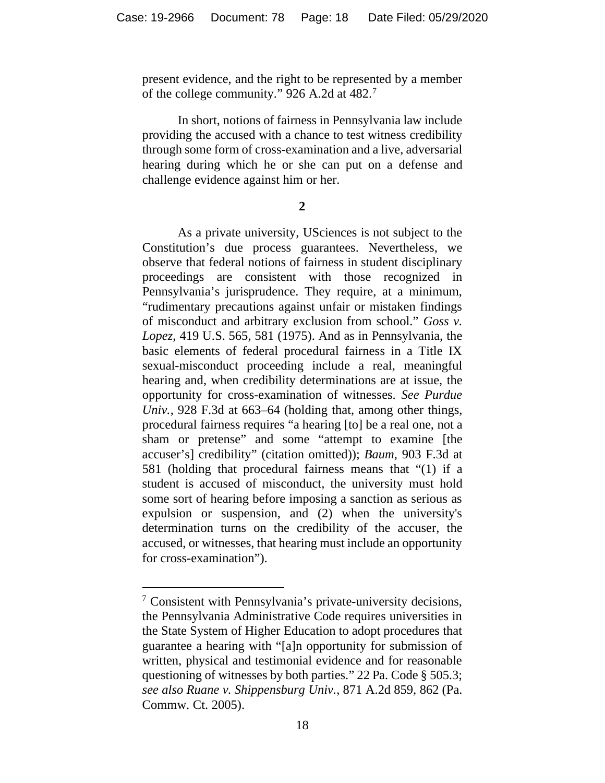present evidence, and the right to be represented by a member of the college community." 926 A.2d at 482.<sup>[7](#page-17-0)</sup>

In short, notions of fairness in Pennsylvania law include providing the accused with a chance to test witness credibility through some form of cross-examination and a live, adversarial hearing during which he or she can put on a defense and challenge evidence against him or her.

**2**

As a private university, USciences is not subject to the Constitution's due process guarantees. Nevertheless, we observe that federal notions of fairness in student disciplinary proceedings are consistent with those recognized in Pennsylvania's jurisprudence. They require, at a minimum, "rudimentary precautions against unfair or mistaken findings of misconduct and arbitrary exclusion from school." *Goss v. Lopez*, 419 U.S. 565, 581 (1975). And as in Pennsylvania, the basic elements of federal procedural fairness in a Title IX sexual-misconduct proceeding include a real, meaningful hearing and, when credibility determinations are at issue, the opportunity for cross-examination of witnesses. *See Purdue Univ.*, 928 F.3d at 663–64 (holding that, among other things, procedural fairness requires "a hearing [to] be a real one, not a sham or pretense" and some "attempt to examine [the accuser's] credibility" (citation omitted)); *Baum*, 903 F.3d at 581 (holding that procedural fairness means that "(1) if a student is accused of misconduct, the university must hold some sort of hearing before imposing a sanction as serious as expulsion or suspension, and (2) when the university's determination turns on the credibility of the accuser, the accused, or witnesses, that hearing must include an opportunity for cross-examination").

<span id="page-17-0"></span><sup>7</sup> Consistent with Pennsylvania's private-university decisions, the Pennsylvania Administrative Code requires universities in the State System of Higher Education to adopt procedures that guarantee a hearing with "[a]n opportunity for submission of written, physical and testimonial evidence and for reasonable questioning of witnesses by both parties." 22 Pa. Code § 505.3; *see also Ruane v. Shippensburg Univ.*, 871 A.2d 859, 862 (Pa. Commw. Ct. 2005).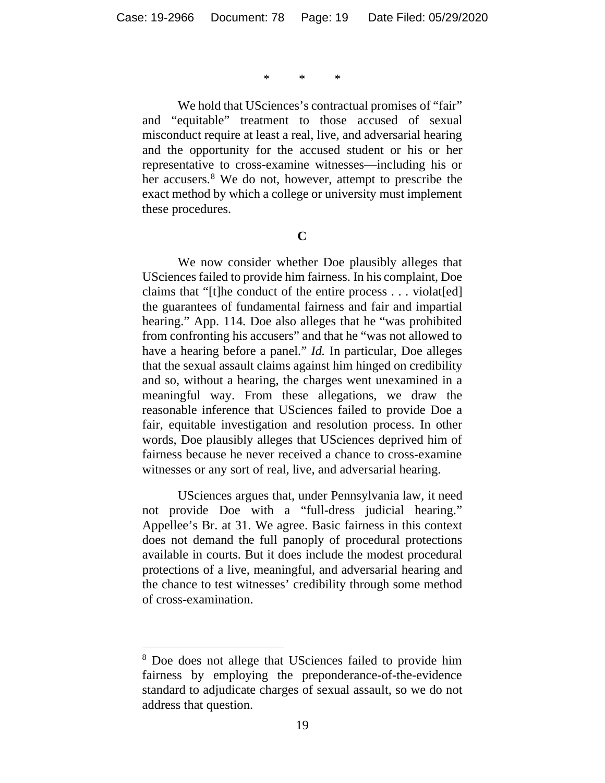\* \* \*

We hold that USciences's contractual promises of "fair" and "equitable" treatment to those accused of sexual misconduct require at least a real, live, and adversarial hearing and the opportunity for the accused student or his or her representative to cross-examine witnesses—including his or her accusers.<sup>[8](#page-18-0)</sup> We do not, however, attempt to prescribe the exact method by which a college or university must implement these procedures.

**C**

We now consider whether Doe plausibly alleges that USciences failed to provide him fairness. In his complaint, Doe claims that "[t]he conduct of the entire process . . . violat[ed] the guarantees of fundamental fairness and fair and impartial hearing." App. 114. Doe also alleges that he "was prohibited from confronting his accusers" and that he "was not allowed to have a hearing before a panel." *Id.* In particular, Doe alleges that the sexual assault claims against him hinged on credibility and so, without a hearing, the charges went unexamined in a meaningful way. From these allegations, we draw the reasonable inference that USciences failed to provide Doe a fair, equitable investigation and resolution process. In other words, Doe plausibly alleges that USciences deprived him of fairness because he never received a chance to cross-examine witnesses or any sort of real, live, and adversarial hearing.

USciences argues that, under Pennsylvania law, it need not provide Doe with a "full-dress judicial hearing." Appellee's Br. at 31. We agree. Basic fairness in this context does not demand the full panoply of procedural protections available in courts. But it does include the modest procedural protections of a live, meaningful, and adversarial hearing and the chance to test witnesses' credibility through some method of cross-examination.

<span id="page-18-0"></span><sup>8</sup> Doe does not allege that USciences failed to provide him fairness by employing the preponderance-of-the-evidence standard to adjudicate charges of sexual assault, so we do not address that question.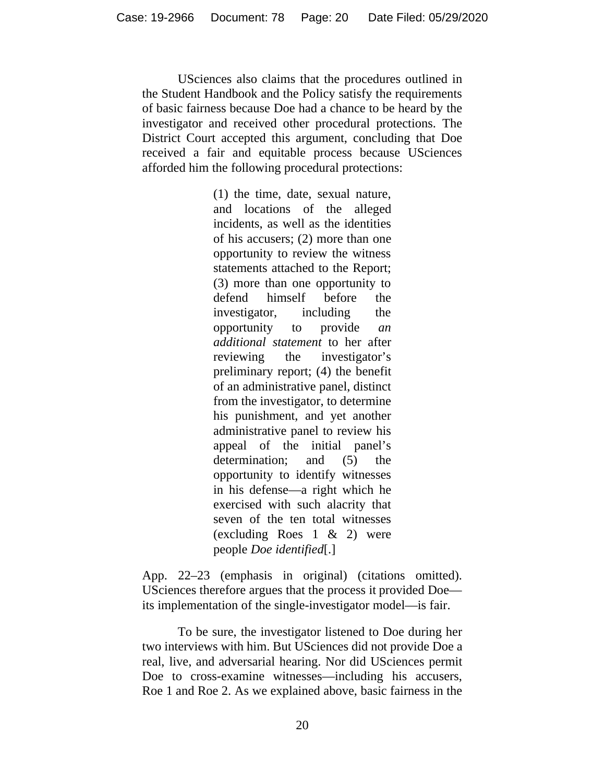USciences also claims that the procedures outlined in the Student Handbook and the Policy satisfy the requirements of basic fairness because Doe had a chance to be heard by the investigator and received other procedural protections. The District Court accepted this argument, concluding that Doe received a fair and equitable process because USciences afforded him the following procedural protections:

> (1) the time, date, sexual nature, and locations of the alleged incidents, as well as the identities of his accusers; (2) more than one opportunity to review the witness statements attached to the Report; (3) more than one opportunity to defend himself before the investigator, including the opportunity to provide *an additional statement* to her after reviewing the investigator's preliminary report; (4) the benefit of an administrative panel, distinct from the investigator, to determine his punishment, and yet another administrative panel to review his appeal of the initial panel's determination: and (5) the opportunity to identify witnesses in his defense—a right which he exercised with such alacrity that seven of the ten total witnesses (excluding Roes 1 & 2) were people *Doe identified*[.]

App. 22–23 (emphasis in original) (citations omitted). USciences therefore argues that the process it provided Doe its implementation of the single-investigator model—is fair.

To be sure, the investigator listened to Doe during her two interviews with him. But USciences did not provide Doe a real, live, and adversarial hearing. Nor did USciences permit Doe to cross-examine witnesses—including his accusers, Roe 1 and Roe 2. As we explained above, basic fairness in the